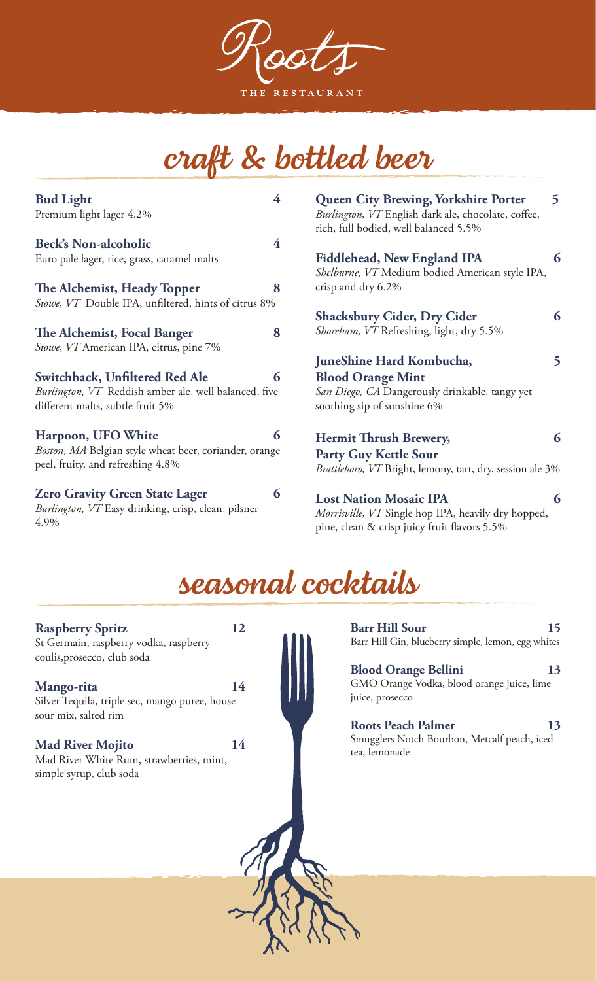THE RESTAURANT

# *craft & bottled beer*

| <b>Bud Light</b><br>Premium light lager 4.2%                                                         | 4                       | <b>Queen City Brewing, Yorkshire Porter</b><br>Burlington, VT English dark ale, chocolate, coffee,<br>rich, full bodied, well balanced 5.5% | 5 |
|------------------------------------------------------------------------------------------------------|-------------------------|---------------------------------------------------------------------------------------------------------------------------------------------|---|
| <b>Beck's Non-alcoholic</b>                                                                          | $\overline{\mathbf{4}}$ |                                                                                                                                             |   |
| Euro pale lager, rice, grass, caramel malts                                                          |                         | Fiddlehead, New England IPA<br>Shelburne, VT Medium bodied American style IPA,                                                              | 6 |
| The Alchemist, Heady Topper                                                                          | 8                       | crisp and dry 6.2%                                                                                                                          |   |
| Stowe, VT Double IPA, unfiltered, hints of citrus 8%                                                 |                         |                                                                                                                                             |   |
|                                                                                                      |                         | <b>Shacksbury Cider, Dry Cider</b>                                                                                                          | 6 |
| The Alchemist, Focal Banger                                                                          | 8                       | Shoreham, VT Refreshing, light, dry 5.5%                                                                                                    |   |
| Stowe, VT American IPA, citrus, pine 7%                                                              |                         |                                                                                                                                             |   |
|                                                                                                      |                         | JuneShine Hard Kombucha,                                                                                                                    | 5 |
| Switchback, Unfiltered Red Ale                                                                       | 6                       | <b>Blood Orange Mint</b>                                                                                                                    |   |
| Burlington, VT Reddish amber ale, well balanced, five<br>different malts, subtle fruit 5%            |                         | San Diego, CA Dangerously drinkable, tangy yet<br>soothing sip of sunshine 6%                                                               |   |
| Harpoon, UFO White                                                                                   | 6                       | Hermit Thrush Brewery,                                                                                                                      | 6 |
| Boston, MA Belgian style wheat beer, coriander, orange<br>peel, fruity, and refreshing 4.8%          |                         | <b>Party Guy Kettle Sour</b><br>Brattleboro, VT Bright, lemony, tart, dry, session ale 3%                                                   |   |
| <b>Zero Gravity Green State Lager</b><br>Burlington, VT Easy drinking, crisp, clean, pilsner<br>4.9% | 6                       | <b>Lost Nation Mosaic IPA</b><br>Morrisville, VT Single hop IPA, heavily dry hopped,<br>pine, clean & crisp juicy fruit flavors 5.5%        | 6 |

## *seasonal cocktails*

**Raspberry Spritz 12** St Germain, raspberry vodka, raspberry coulis,prosecco, club soda

#### **Mango-rita 14** Silver Tequila, triple sec, mango puree, house sour mix, salted rim

**Mad River Mojito 14** Mad River White Rum, strawberries, mint, simple syrup, club soda

**Barr Hill Sour 15** Barr Hill Gin, blueberry simple, lemon, egg whites

**Blood Orange Bellini 13** GMO Orange Vodka, blood orange juice, lime juice, prosecco

#### **Roots Peach Palmer 13** Smugglers Notch Bourbon, Metcalf peach, iced tea, lemonade